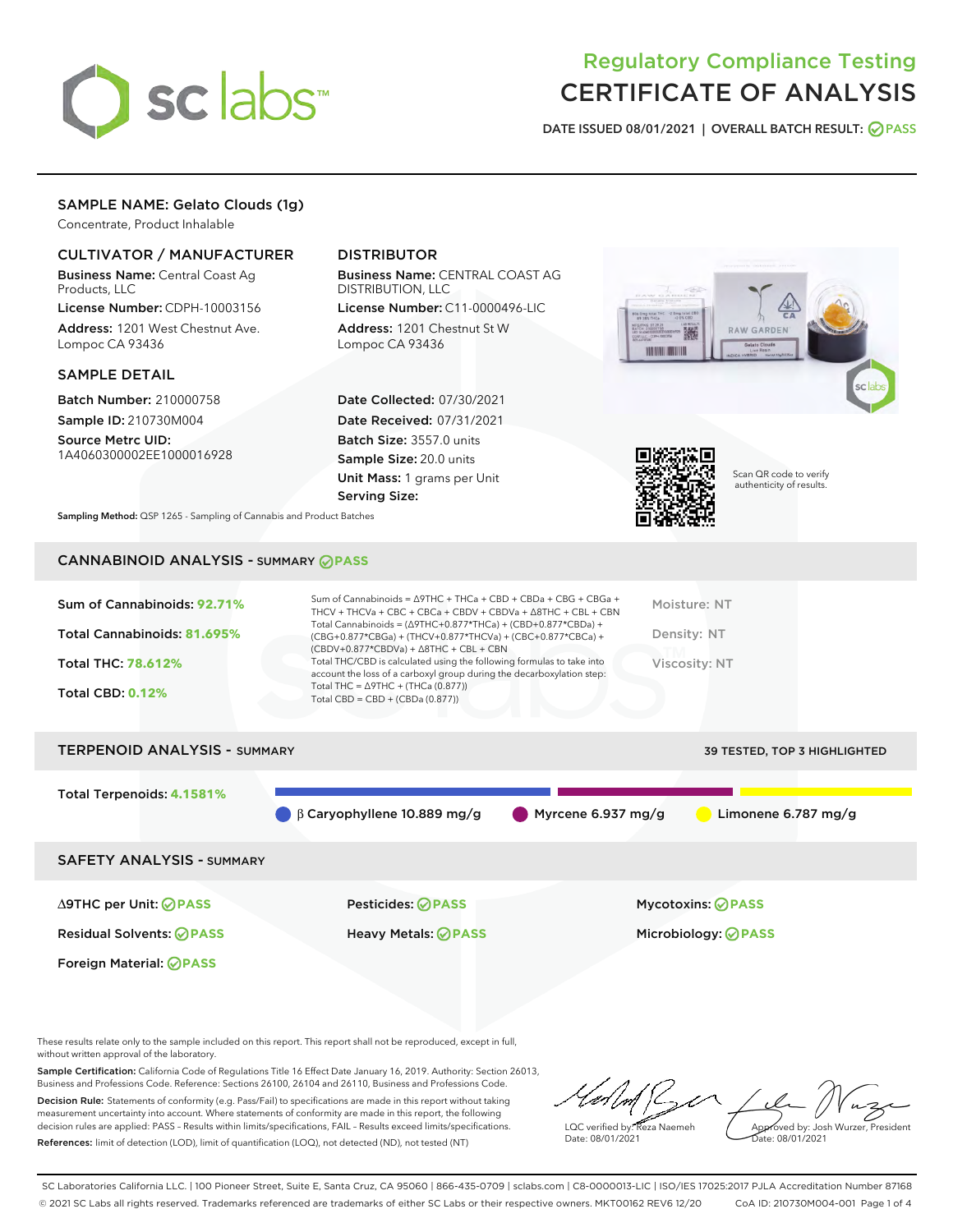

# Regulatory Compliance Testing CERTIFICATE OF ANALYSIS

DATE ISSUED 08/01/2021 | OVERALL BATCH RESULT: @ PASS

# SAMPLE NAME: Gelato Clouds (1g)

Concentrate, Product Inhalable

## CULTIVATOR / MANUFACTURER

Business Name: Central Coast Ag Products, LLC

License Number: CDPH-10003156 Address: 1201 West Chestnut Ave. Lompoc CA 93436

## SAMPLE DETAIL

Batch Number: 210000758 Sample ID: 210730M004

Source Metrc UID: 1A4060300002EE1000016928

# DISTRIBUTOR

Business Name: CENTRAL COAST AG DISTRIBUTION, LLC

License Number: C11-0000496-LIC Address: 1201 Chestnut St W Lompoc CA 93436

Date Collected: 07/30/2021 Date Received: 07/31/2021 Batch Size: 3557.0 units Sample Size: 20.0 units Unit Mass: 1 grams per Unit Serving Size:





Scan QR code to verify authenticity of results.

Sampling Method: QSP 1265 - Sampling of Cannabis and Product Batches

# CANNABINOID ANALYSIS - SUMMARY **PASS**

| Sum of Cannabinoids: 92.71%<br>Total Cannabinoids: 81.695%<br>Total THC: 78.612%<br><b>Total CBD: 0.12%</b> | Sum of Cannabinoids = $\triangle$ 9THC + THCa + CBD + CBDa + CBG + CBGa +<br>THCV + THCVa + CBC + CBCa + CBDV + CBDVa + $\Delta$ 8THC + CBL + CBN<br>Total Cannabinoids = $(\Delta$ 9THC+0.877*THCa) + (CBD+0.877*CBDa) +<br>(CBG+0.877*CBGa) + (THCV+0.877*THCVa) + (CBC+0.877*CBCa) +<br>$(CBDV+0.877*CBDVa) + \Delta 8THC + CBL + CBN$<br>Total THC/CBD is calculated using the following formulas to take into<br>account the loss of a carboxyl group during the decarboxylation step:<br>Total THC = $\triangle$ 9THC + (THCa (0.877))<br>Total CBD = $CBD + (CBDa (0.877))$ | Moisture: NT<br>Density: NT<br>Viscosity: NT |
|-------------------------------------------------------------------------------------------------------------|------------------------------------------------------------------------------------------------------------------------------------------------------------------------------------------------------------------------------------------------------------------------------------------------------------------------------------------------------------------------------------------------------------------------------------------------------------------------------------------------------------------------------------------------------------------------------------|----------------------------------------------|
| <b>TERPENOID ANALYSIS - SUMMARY</b>                                                                         |                                                                                                                                                                                                                                                                                                                                                                                                                                                                                                                                                                                    | <b>39 TESTED, TOP 3 HIGHLIGHTED</b>          |
| Total Terpenoids: 4.1581%                                                                                   | $\blacksquare$ Myrcene 6.937 mg/g<br>$\beta$ Caryophyllene 10.889 mg/g                                                                                                                                                                                                                                                                                                                                                                                                                                                                                                             | Limonene 6.787 mg/g                          |
| CAEETV ANALVEIC CUMMADY                                                                                     |                                                                                                                                                                                                                                                                                                                                                                                                                                                                                                                                                                                    |                                              |

ANALYSIS - SUMMARY

∆9THC per Unit: **PASS** Pesticides: **PASS** Mycotoxins: **PASS**

Foreign Material: **PASS**

Residual Solvents: **PASS** Heavy Metals: **PASS** Microbiology: **PASS**

These results relate only to the sample included on this report. This report shall not be reproduced, except in full, without written approval of the laboratory.

Sample Certification: California Code of Regulations Title 16 Effect Date January 16, 2019. Authority: Section 26013, Business and Professions Code. Reference: Sections 26100, 26104 and 26110, Business and Professions Code. Decision Rule: Statements of conformity (e.g. Pass/Fail) to specifications are made in this report without taking measurement uncertainty into account. Where statements of conformity are made in this report, the following decision rules are applied: PASS – Results within limits/specifications, FAIL – Results exceed limits/specifications.

References: limit of detection (LOD), limit of quantification (LOQ), not detected (ND), not tested (NT)

LQC verified by: Reza Naemeh Date: 08/01/2021 Approved by: Josh Wurzer, President ate: 08/01/2021

SC Laboratories California LLC. | 100 Pioneer Street, Suite E, Santa Cruz, CA 95060 | 866-435-0709 | sclabs.com | C8-0000013-LIC | ISO/IES 17025:2017 PJLA Accreditation Number 87168 © 2021 SC Labs all rights reserved. Trademarks referenced are trademarks of either SC Labs or their respective owners. MKT00162 REV6 12/20 CoA ID: 210730M004-001 Page 1 of 4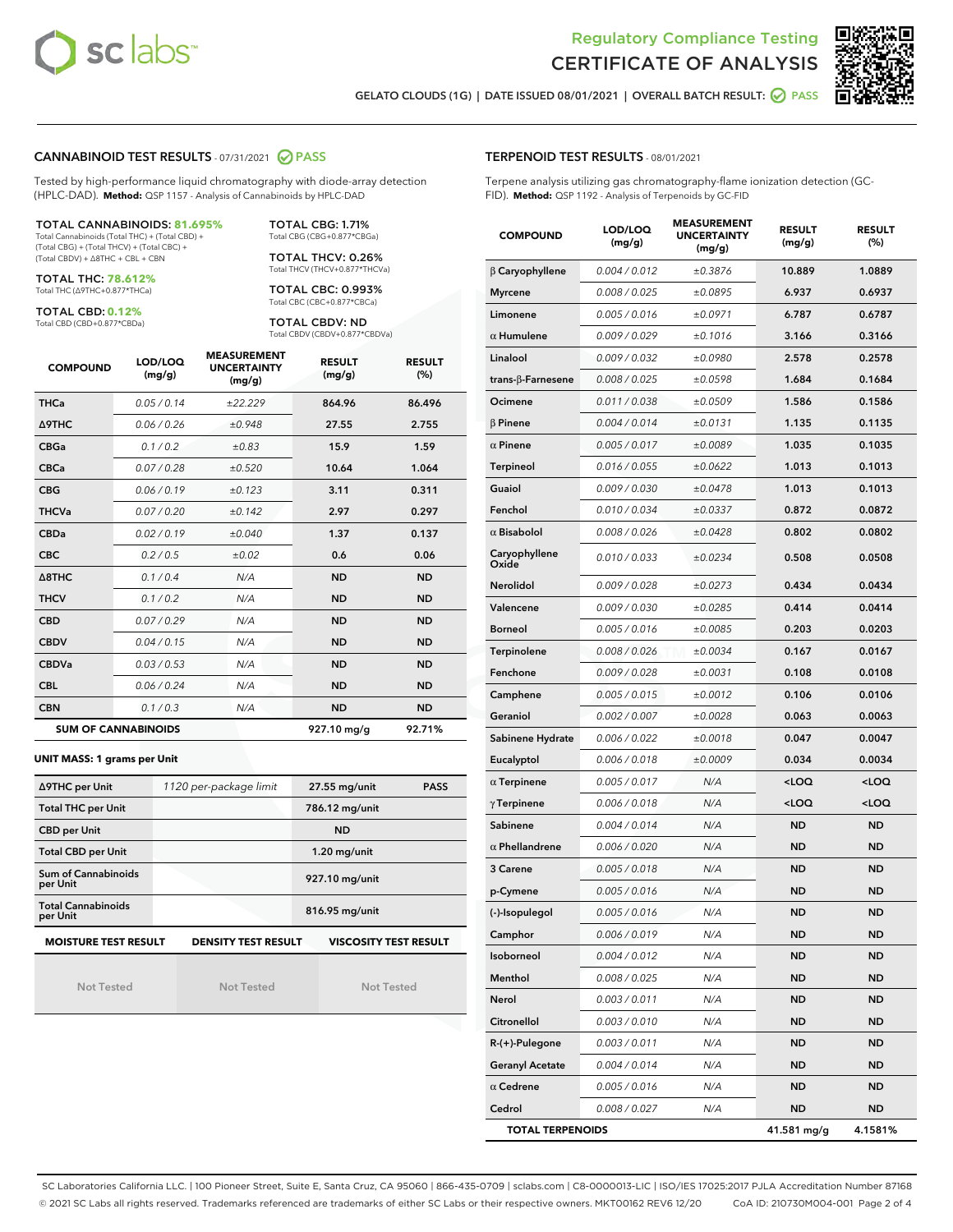



GELATO CLOUDS (1G) | DATE ISSUED 08/01/2021 | OVERALL BATCH RESULT: O PASS

#### CANNABINOID TEST RESULTS - 07/31/2021 2 PASS

Tested by high-performance liquid chromatography with diode-array detection (HPLC-DAD). **Method:** QSP 1157 - Analysis of Cannabinoids by HPLC-DAD

#### TOTAL CANNABINOIDS: **81.695%**

Total Cannabinoids (Total THC) + (Total CBD) + (Total CBG) + (Total THCV) + (Total CBC) + (Total CBDV) + ∆8THC + CBL + CBN

TOTAL THC: **78.612%** Total THC (∆9THC+0.877\*THCa)

TOTAL CBD: **0.12%**

Total CBD (CBD+0.877\*CBDa)

TOTAL CBG: 1.71% Total CBG (CBG+0.877\*CBGa)

TOTAL THCV: 0.26% Total THCV (THCV+0.877\*THCVa)

TOTAL CBC: 0.993% Total CBC (CBC+0.877\*CBCa)

TOTAL CBDV: ND Total CBDV (CBDV+0.877\*CBDVa)

| <b>COMPOUND</b> | LOD/LOQ<br>(mg/g)          | <b>MEASUREMENT</b><br><b>UNCERTAINTY</b><br>(mg/g) | <b>RESULT</b><br>(mg/g) | <b>RESULT</b><br>(%) |
|-----------------|----------------------------|----------------------------------------------------|-------------------------|----------------------|
| <b>THCa</b>     | 0.05/0.14                  | ±22.229                                            | 864.96                  | 86.496               |
| <b>A9THC</b>    | 0.06 / 0.26                | ±0.948                                             | 27.55                   | 2.755                |
| <b>CBGa</b>     | 0.1 / 0.2                  | ±0.83                                              | 15.9                    | 1.59                 |
| <b>CBCa</b>     | 0.07/0.28                  | ±0.520                                             | 10.64                   | 1.064                |
| <b>CBG</b>      | 0.06/0.19                  | ±0.123                                             | 3.11                    | 0.311                |
| <b>THCVa</b>    | 0.07/0.20                  | ±0.142                                             | 2.97                    | 0.297                |
| <b>CBDa</b>     | 0.02/0.19                  | ±0.040                                             | 1.37                    | 0.137                |
| <b>CBC</b>      | 0.2 / 0.5                  | $\pm 0.02$                                         | 0.6                     | 0.06                 |
| A8THC           | 0.1/0.4                    | N/A                                                | <b>ND</b>               | <b>ND</b>            |
| <b>THCV</b>     | 0.1/0.2                    | N/A                                                | <b>ND</b>               | <b>ND</b>            |
| <b>CBD</b>      | 0.07/0.29                  | N/A                                                | <b>ND</b>               | <b>ND</b>            |
| <b>CBDV</b>     | 0.04 / 0.15                | N/A                                                | <b>ND</b>               | <b>ND</b>            |
| <b>CBDVa</b>    | 0.03/0.53                  | N/A                                                | <b>ND</b>               | <b>ND</b>            |
| <b>CBL</b>      | 0.06 / 0.24                | N/A                                                | <b>ND</b>               | <b>ND</b>            |
| <b>CBN</b>      | 0.1/0.3                    | N/A                                                | <b>ND</b>               | <b>ND</b>            |
|                 | <b>SUM OF CANNABINOIDS</b> |                                                    | 927.10 mg/g             | 92.71%               |

#### **UNIT MASS: 1 grams per Unit**

| ∆9THC per Unit                        | 1120 per-package limit     | 27.55 mg/unit<br><b>PASS</b> |
|---------------------------------------|----------------------------|------------------------------|
| <b>Total THC per Unit</b>             |                            | 786.12 mg/unit               |
| <b>CBD per Unit</b>                   |                            | <b>ND</b>                    |
| <b>Total CBD per Unit</b>             |                            | $1.20$ mg/unit               |
| Sum of Cannabinoids<br>per Unit       |                            | 927.10 mg/unit               |
| <b>Total Cannabinoids</b><br>per Unit |                            | 816.95 mg/unit               |
| <b>MOISTURE TEST RESULT</b>           | <b>DENSITY TEST RESULT</b> | <b>VISCOSITY TEST RESULT</b> |

Not Tested

Not Tested

Not Tested

#### TERPENOID TEST RESULTS - 08/01/2021

Terpene analysis utilizing gas chromatography-flame ionization detection (GC-FID). **Method:** QSP 1192 - Analysis of Terpenoids by GC-FID

| <b>COMPOUND</b>           | LOD/LOQ<br>(mg/g) | <b>MEASUREMENT</b><br><b>UNCERTAINTY</b><br>(mg/g) | <b>RESULT</b><br>(mg/g)                          | <b>RESULT</b><br>(%) |
|---------------------------|-------------------|----------------------------------------------------|--------------------------------------------------|----------------------|
| $\beta$ Caryophyllene     | 0.004 / 0.012     | ±0.3876                                            | 10.889                                           | 1.0889               |
| <b>Myrcene</b>            | 0.008 / 0.025     | ±0.0895                                            | 6.937                                            | 0.6937               |
| Limonene                  | 0.005 / 0.016     | ±0.0971                                            | 6.787                                            | 0.6787               |
| $\alpha$ Humulene         | 0.009 / 0.029     | ±0.1016                                            | 3.166                                            | 0.3166               |
| Linalool                  | 0.009 / 0.032     | ±0.0980                                            | 2.578                                            | 0.2578               |
| trans- $\beta$ -Farnesene | 0.008 / 0.025     | ±0.0598                                            | 1.684                                            | 0.1684               |
| Ocimene                   | 0.011 / 0.038     | ±0.0509                                            | 1.586                                            | 0.1586               |
| $\beta$ Pinene            | 0.004 / 0.014     | ±0.0131                                            | 1.135                                            | 0.1135               |
| $\alpha$ Pinene           | 0.005 / 0.017     | ±0.0089                                            | 1.035                                            | 0.1035               |
| Terpineol                 | 0.016 / 0.055     | ±0.0622                                            | 1.013                                            | 0.1013               |
| Guaiol                    | 0.009 / 0.030     | ±0.0478                                            | 1.013                                            | 0.1013               |
| Fenchol                   | 0.010 / 0.034     | ±0.0337                                            | 0.872                                            | 0.0872               |
| $\alpha$ Bisabolol        | 0.008 / 0.026     | ±0.0428                                            | 0.802                                            | 0.0802               |
| Caryophyllene<br>Oxide    | 0.010 / 0.033     | ±0.0234                                            | 0.508                                            | 0.0508               |
| Nerolidol                 | 0.009 / 0.028     | ±0.0273                                            | 0.434                                            | 0.0434               |
| Valencene                 | 0.009 / 0.030     | ±0.0285                                            | 0.414                                            | 0.0414               |
| <b>Borneol</b>            | 0.005 / 0.016     | ±0.0085                                            | 0.203                                            | 0.0203               |
| Terpinolene               | 0.008 / 0.026     | ±0.0034                                            | 0.167                                            | 0.0167               |
| Fenchone                  | 0.009 / 0.028     | ±0.0031                                            | 0.108                                            | 0.0108               |
| Camphene                  | 0.005 / 0.015     | ±0.0012                                            | 0.106                                            | 0.0106               |
| Geraniol                  | 0.002 / 0.007     | ±0.0028                                            | 0.063                                            | 0.0063               |
| Sabinene Hydrate          | 0.006 / 0.022     | ±0.0018                                            | 0.047                                            | 0.0047               |
| Eucalyptol                | 0.006 / 0.018     | ±0.0009                                            | 0.034                                            | 0.0034               |
| $\alpha$ Terpinene        | 0.005 / 0.017     | N/A                                                | <loq< th=""><th><math>&lt;</math>LOQ</th></loq<> | $<$ LOQ              |
| $\gamma$ Terpinene        | 0.006 / 0.018     | N/A                                                | <loq< th=""><th><loq< th=""></loq<></th></loq<>  | <loq< th=""></loq<>  |
| Sabinene                  | 0.004 / 0.014     | N/A                                                | <b>ND</b>                                        | <b>ND</b>            |
| $\alpha$ Phellandrene     | 0.006 / 0.020     | N/A                                                | ND                                               | <b>ND</b>            |
| 3 Carene                  | 0.005 / 0.018     | N/A                                                | <b>ND</b>                                        | <b>ND</b>            |
| p-Cymene                  | 0.005 / 0.016     | N/A                                                | ND                                               | <b>ND</b>            |
| (-)-Isopulegol            | 0.005 / 0.016     | N/A                                                | <b>ND</b>                                        | <b>ND</b>            |
| Camphor                   | 0.006 / 0.019     | N/A                                                | ND                                               | ND                   |
| Isoborneol                | 0.004 / 0.012     | N/A                                                | ND                                               | ND                   |
| Menthol                   | 0.008 / 0.025     | N/A                                                | <b>ND</b>                                        | ND                   |
| Nerol                     | 0.003 / 0.011     | N/A                                                | <b>ND</b>                                        | <b>ND</b>            |
| Citronellol               | 0.003 / 0.010     | N/A                                                | ND                                               | ND                   |
| R-(+)-Pulegone            | 0.003 / 0.011     | N/A                                                | ND                                               | ND                   |
| <b>Geranyl Acetate</b>    | 0.004 / 0.014     | N/A                                                | <b>ND</b>                                        | <b>ND</b>            |
| $\alpha$ Cedrene          | 0.005 / 0.016     | N/A                                                | ND                                               | ND                   |
| Cedrol                    | 0.008 / 0.027     | N/A                                                | <b>ND</b>                                        | ND                   |
| <b>TOTAL TERPENOIDS</b>   |                   |                                                    | 41.581 mg/g                                      | 4.1581%              |

SC Laboratories California LLC. | 100 Pioneer Street, Suite E, Santa Cruz, CA 95060 | 866-435-0709 | sclabs.com | C8-0000013-LIC | ISO/IES 17025:2017 PJLA Accreditation Number 87168 © 2021 SC Labs all rights reserved. Trademarks referenced are trademarks of either SC Labs or their respective owners. MKT00162 REV6 12/20 CoA ID: 210730M004-001 Page 2 of 4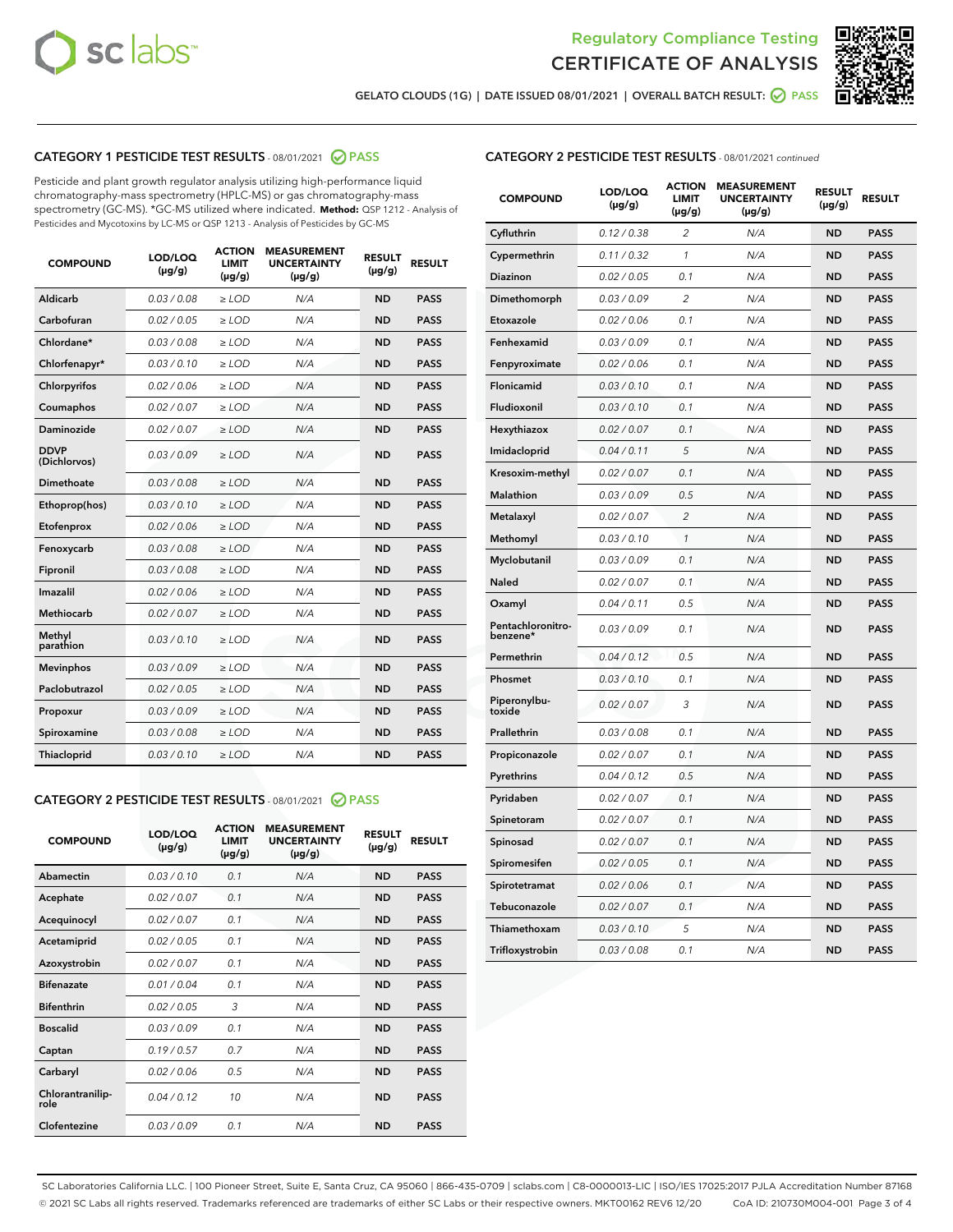



GELATO CLOUDS (1G) | DATE ISSUED 08/01/2021 | OVERALL BATCH RESULT: ○ PASS

# CATEGORY 1 PESTICIDE TEST RESULTS - 08/01/2021 2 PASS

Pesticide and plant growth regulator analysis utilizing high-performance liquid chromatography-mass spectrometry (HPLC-MS) or gas chromatography-mass spectrometry (GC-MS). \*GC-MS utilized where indicated. **Method:** QSP 1212 - Analysis of Pesticides and Mycotoxins by LC-MS or QSP 1213 - Analysis of Pesticides by GC-MS

| <b>COMPOUND</b>             | LOD/LOQ<br>$(\mu g/g)$ | <b>ACTION</b><br><b>LIMIT</b><br>$(\mu g/g)$ | <b>MEASUREMENT</b><br><b>UNCERTAINTY</b><br>$(\mu g/g)$ | <b>RESULT</b><br>$(\mu g/g)$ | <b>RESULT</b> |
|-----------------------------|------------------------|----------------------------------------------|---------------------------------------------------------|------------------------------|---------------|
| Aldicarb                    | 0.03 / 0.08            | $\ge$ LOD                                    | N/A                                                     | <b>ND</b>                    | <b>PASS</b>   |
| Carbofuran                  | 0.02 / 0.05            | $\ge$ LOD                                    | N/A                                                     | <b>ND</b>                    | <b>PASS</b>   |
| Chlordane*                  | 0.03 / 0.08            | $\ge$ LOD                                    | N/A                                                     | <b>ND</b>                    | <b>PASS</b>   |
| Chlorfenapyr*               | 0.03/0.10              | $\geq$ LOD                                   | N/A                                                     | <b>ND</b>                    | <b>PASS</b>   |
| Chlorpyrifos                | 0.02 / 0.06            | $\ge$ LOD                                    | N/A                                                     | <b>ND</b>                    | <b>PASS</b>   |
| Coumaphos                   | 0.02 / 0.07            | $\ge$ LOD                                    | N/A                                                     | <b>ND</b>                    | <b>PASS</b>   |
| Daminozide                  | 0.02 / 0.07            | $\ge$ LOD                                    | N/A                                                     | <b>ND</b>                    | <b>PASS</b>   |
| <b>DDVP</b><br>(Dichlorvos) | 0.03/0.09              | $>$ LOD                                      | N/A                                                     | <b>ND</b>                    | <b>PASS</b>   |
| Dimethoate                  | 0.03/0.08              | $\ge$ LOD                                    | N/A                                                     | <b>ND</b>                    | <b>PASS</b>   |
| Ethoprop(hos)               | 0.03/0.10              | $>$ LOD                                      | N/A                                                     | <b>ND</b>                    | <b>PASS</b>   |
| Etofenprox                  | 0.02 / 0.06            | $\ge$ LOD                                    | N/A                                                     | <b>ND</b>                    | <b>PASS</b>   |
| Fenoxycarb                  | 0.03/0.08              | $\ge$ LOD                                    | N/A                                                     | <b>ND</b>                    | <b>PASS</b>   |
| Fipronil                    | 0.03/0.08              | $\ge$ LOD                                    | N/A                                                     | <b>ND</b>                    | <b>PASS</b>   |
| Imazalil                    | 0.02 / 0.06            | $>$ LOD                                      | N/A                                                     | <b>ND</b>                    | <b>PASS</b>   |
| <b>Methiocarb</b>           | 0.02 / 0.07            | $\ge$ LOD                                    | N/A                                                     | <b>ND</b>                    | <b>PASS</b>   |
| Methyl<br>parathion         | 0.03/0.10              | $\ge$ LOD                                    | N/A                                                     | <b>ND</b>                    | <b>PASS</b>   |
| <b>Mevinphos</b>            | 0.03/0.09              | $\ge$ LOD                                    | N/A                                                     | <b>ND</b>                    | <b>PASS</b>   |
| Paclobutrazol               | 0.02 / 0.05            | $>$ LOD                                      | N/A                                                     | <b>ND</b>                    | <b>PASS</b>   |
| Propoxur                    | 0.03/0.09              | $\ge$ LOD                                    | N/A                                                     | <b>ND</b>                    | <b>PASS</b>   |
| Spiroxamine                 | 0.03/0.08              | $\ge$ LOD                                    | N/A                                                     | <b>ND</b>                    | <b>PASS</b>   |
| Thiacloprid                 | 0.03/0.10              | $\ge$ LOD                                    | N/A                                                     | <b>ND</b>                    | <b>PASS</b>   |

## CATEGORY 2 PESTICIDE TEST RESULTS - 08/01/2021 @ PASS

| <b>COMPOUND</b>          | LOD/LOQ<br>$(\mu g/g)$ | <b>ACTION</b><br><b>LIMIT</b><br>$(\mu g/g)$ | <b>MEASUREMENT</b><br><b>UNCERTAINTY</b><br>$(\mu g/g)$ | <b>RESULT</b><br>$(\mu g/g)$ | <b>RESULT</b> |
|--------------------------|------------------------|----------------------------------------------|---------------------------------------------------------|------------------------------|---------------|
| Abamectin                | 0.03/0.10              | 0.1                                          | N/A                                                     | <b>ND</b>                    | <b>PASS</b>   |
| Acephate                 | 0.02/0.07              | 0.1                                          | N/A                                                     | <b>ND</b>                    | <b>PASS</b>   |
| Acequinocyl              | 0.02/0.07              | 0.1                                          | N/A                                                     | <b>ND</b>                    | <b>PASS</b>   |
| Acetamiprid              | 0.02/0.05              | 0.1                                          | N/A                                                     | <b>ND</b>                    | <b>PASS</b>   |
| Azoxystrobin             | 0.02/0.07              | 0.1                                          | N/A                                                     | <b>ND</b>                    | <b>PASS</b>   |
| <b>Bifenazate</b>        | 0.01/0.04              | 0.1                                          | N/A                                                     | <b>ND</b>                    | <b>PASS</b>   |
| <b>Bifenthrin</b>        | 0.02/0.05              | 3                                            | N/A                                                     | <b>ND</b>                    | <b>PASS</b>   |
| <b>Boscalid</b>          | 0.03/0.09              | 0.1                                          | N/A                                                     | <b>ND</b>                    | <b>PASS</b>   |
| Captan                   | 0.19/0.57              | 0.7                                          | N/A                                                     | <b>ND</b>                    | <b>PASS</b>   |
| Carbaryl                 | 0.02/0.06              | 0.5                                          | N/A                                                     | <b>ND</b>                    | <b>PASS</b>   |
| Chlorantranilip-<br>role | 0.04/0.12              | 10                                           | N/A                                                     | <b>ND</b>                    | <b>PASS</b>   |
| Clofentezine             | 0.03/0.09              | 0.1                                          | N/A                                                     | <b>ND</b>                    | <b>PASS</b>   |

## CATEGORY 2 PESTICIDE TEST RESULTS - 08/01/2021 continued

| <b>COMPOUND</b>               | LOD/LOQ<br>(µg/g) | <b>ACTION</b><br><b>LIMIT</b><br>(µg/g) | <b>MEASUREMENT</b><br><b>UNCERTAINTY</b><br>$(\mu g/g)$ | <b>RESULT</b><br>(µg/g) | <b>RESULT</b> |
|-------------------------------|-------------------|-----------------------------------------|---------------------------------------------------------|-------------------------|---------------|
| Cyfluthrin                    | 0.12 / 0.38       | $\overline{c}$                          | N/A                                                     | ND                      | <b>PASS</b>   |
| Cypermethrin                  | 0.11 / 0.32       | $\mathcal{I}$                           | N/A                                                     | ND                      | <b>PASS</b>   |
| <b>Diazinon</b>               | 0.02 / 0.05       | 0.1                                     | N/A                                                     | <b>ND</b>               | <b>PASS</b>   |
| Dimethomorph                  | 0.03 / 0.09       | 2                                       | N/A                                                     | <b>ND</b>               | <b>PASS</b>   |
| Etoxazole                     | 0.02 / 0.06       | 0.1                                     | N/A                                                     | <b>ND</b>               | <b>PASS</b>   |
| Fenhexamid                    | 0.03 / 0.09       | 0.1                                     | N/A                                                     | <b>ND</b>               | <b>PASS</b>   |
| Fenpyroximate                 | 0.02 / 0.06       | 0.1                                     | N/A                                                     | <b>ND</b>               | <b>PASS</b>   |
| Flonicamid                    | 0.03 / 0.10       | 0.1                                     | N/A                                                     | ND                      | <b>PASS</b>   |
| Fludioxonil                   | 0.03 / 0.10       | 0.1                                     | N/A                                                     | ND                      | <b>PASS</b>   |
| Hexythiazox                   | 0.02 / 0.07       | 0.1                                     | N/A                                                     | <b>ND</b>               | <b>PASS</b>   |
| Imidacloprid                  | 0.04 / 0.11       | 5                                       | N/A                                                     | <b>ND</b>               | <b>PASS</b>   |
| Kresoxim-methyl               | 0.02 / 0.07       | 0.1                                     | N/A                                                     | ND                      | <b>PASS</b>   |
| Malathion                     | 0.03 / 0.09       | 0.5                                     | N/A                                                     | <b>ND</b>               | <b>PASS</b>   |
| Metalaxyl                     | 0.02 / 0.07       | $\overline{c}$                          | N/A                                                     | <b>ND</b>               | <b>PASS</b>   |
| Methomyl                      | 0.03 / 0.10       | $\mathbf{1}$                            | N/A                                                     | <b>ND</b>               | <b>PASS</b>   |
| Myclobutanil                  | 0.03 / 0.09       | 0.1                                     | N/A                                                     | <b>ND</b>               | <b>PASS</b>   |
| Naled                         | 0.02 / 0.07       | 0.1                                     | N/A                                                     | <b>ND</b>               | <b>PASS</b>   |
| Oxamyl                        | 0.04 / 0.11       | 0.5                                     | N/A                                                     | ND                      | PASS          |
| Pentachloronitro-<br>benzene* | 0.03 / 0.09       | 0.1                                     | N/A                                                     | ND                      | <b>PASS</b>   |
| Permethrin                    | 0.04 / 0.12       | 0.5                                     | N/A                                                     | <b>ND</b>               | <b>PASS</b>   |
| Phosmet                       | 0.03 / 0.10       | 0.1                                     | N/A                                                     | ND                      | <b>PASS</b>   |
| Piperonylbu-<br>toxide        | 0.02 / 0.07       | 3                                       | N/A                                                     | <b>ND</b>               | <b>PASS</b>   |
| Prallethrin                   | 0.03 / 0.08       | 0.1                                     | N/A                                                     | <b>ND</b>               | <b>PASS</b>   |
| Propiconazole                 | 0.02 / 0.07       | 0.1                                     | N/A                                                     | <b>ND</b>               | <b>PASS</b>   |
| Pyrethrins                    | 0.04 / 0.12       | 0.5                                     | N/A                                                     | ND                      | <b>PASS</b>   |
| Pyridaben                     | 0.02 / 0.07       | 0.1                                     | N/A                                                     | <b>ND</b>               | <b>PASS</b>   |
| Spinetoram                    | 0.02 / 0.07       | 0.1                                     | N/A                                                     | <b>ND</b>               | <b>PASS</b>   |
| Spinosad                      | 0.02 / 0.07       | 0.1                                     | N/A                                                     | <b>ND</b>               | <b>PASS</b>   |
| Spiromesifen                  | 0.02 / 0.05       | 0.1                                     | N/A                                                     | <b>ND</b>               | <b>PASS</b>   |
| Spirotetramat                 | 0.02 / 0.06       | 0.1                                     | N/A                                                     | <b>ND</b>               | <b>PASS</b>   |
| Tebuconazole                  | 0.02 / 0.07       | 0.1                                     | N/A                                                     | <b>ND</b>               | <b>PASS</b>   |
| Thiamethoxam                  | 0.03 / 0.10       | 5                                       | N/A                                                     | <b>ND</b>               | <b>PASS</b>   |
| Trifloxystrobin               | 0.03 / 0.08       | 0.1                                     | N/A                                                     | <b>ND</b>               | <b>PASS</b>   |

SC Laboratories California LLC. | 100 Pioneer Street, Suite E, Santa Cruz, CA 95060 | 866-435-0709 | sclabs.com | C8-0000013-LIC | ISO/IES 17025:2017 PJLA Accreditation Number 87168 © 2021 SC Labs all rights reserved. Trademarks referenced are trademarks of either SC Labs or their respective owners. MKT00162 REV6 12/20 CoA ID: 210730M004-001 Page 3 of 4